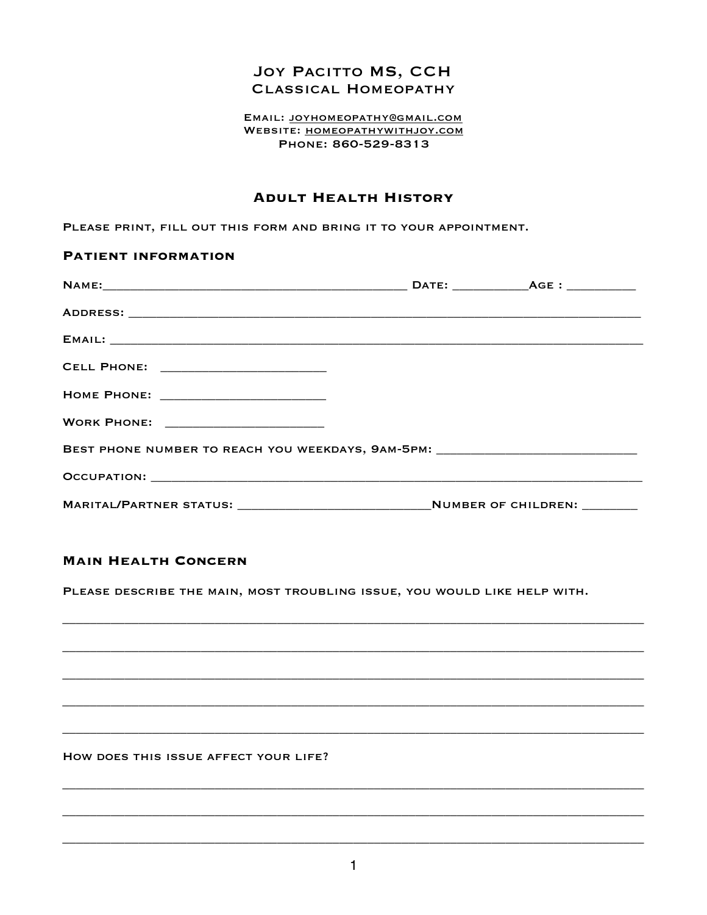# **JOY PACITTO MS, CCH CLASSICAL HOMEOPATHY**

#### EMAIL: JOYHOMEOPATHY@GMAIL.COM WEBSITE: HOMEOPATHYWITHJOY.COM PHONE: 860-529-8313

## **ADULT HEALTH HISTORY**

PLEASE PRINT, FILL OUT THIS FORM AND BRING IT TO YOUR APPOINTMENT.

| <b>PATIENT INFORMATION</b> |                                                                                         |  |  |
|----------------------------|-----------------------------------------------------------------------------------------|--|--|
|                            |                                                                                         |  |  |
|                            |                                                                                         |  |  |
|                            |                                                                                         |  |  |
|                            | CELL PHONE: _________________________                                                   |  |  |
|                            |                                                                                         |  |  |
|                            | <b>WORK PHONE:</b> _________________________                                            |  |  |
|                            | BEST PHONE NUMBER TO REACH YOU WEEKDAYS, 9AM-5PM: ______________________________        |  |  |
|                            |                                                                                         |  |  |
|                            | MARITAL/PARTNER STATUS: ___________________________________NUMBER OF CHILDREN: ________ |  |  |

# **MAIN HEALTH CONCERN**

PLEASE DESCRIBE THE MAIN, MOST TROUBLING ISSUE, YOU WOULD LIKE HELP WITH.

HOW DOES THIS ISSUE AFFECT YOUR LIFE?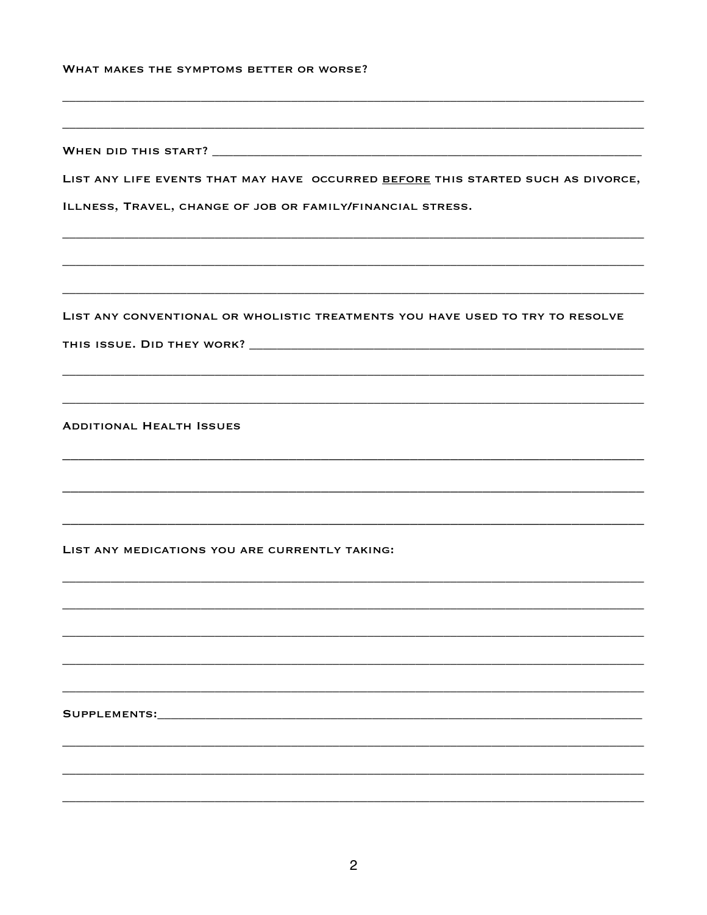| WHAT MAKES THE SYMPTOMS BETTER OR WORSE? |  |  |  |  |  |  |  |
|------------------------------------------|--|--|--|--|--|--|--|
|------------------------------------------|--|--|--|--|--|--|--|

| LIST ANY LIFE EVENTS THAT MAY HAVE OCCURRED BEFORE THIS STARTED SUCH AS DIVORCE, |
|----------------------------------------------------------------------------------|
| ILLNESS, TRAVEL, CHANGE OF JOB OR FAMILY/FINANCIAL STRESS.                       |
|                                                                                  |
|                                                                                  |
| LIST ANY CONVENTIONAL OR WHOLISTIC TREATMENTS YOU HAVE USED TO TRY TO RESOLVE    |
|                                                                                  |
|                                                                                  |
| <b>ADDITIONAL HEALTH ISSUES</b>                                                  |
|                                                                                  |
|                                                                                  |
| LIST ANY MEDICATIONS YOU ARE CURRENTLY TAKING:                                   |
|                                                                                  |
|                                                                                  |
|                                                                                  |
|                                                                                  |
| SUPPLEMENTS:                                                                     |
|                                                                                  |
|                                                                                  |
|                                                                                  |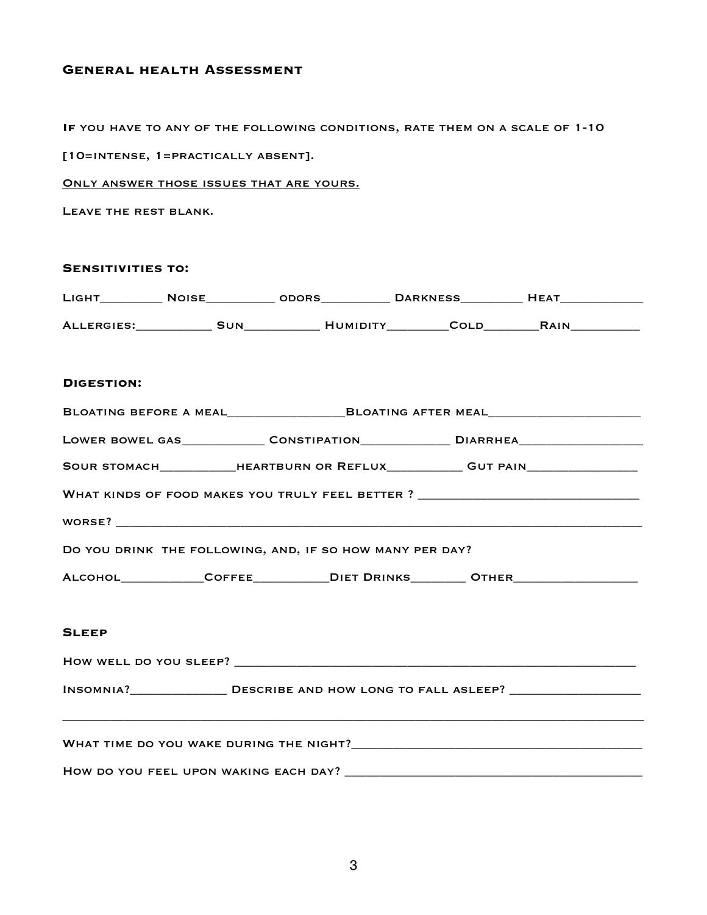## **General health Assessment**

**If** you have to any of the following conditions, rate them on a scale of 1-10

[10=intense, 1=practically absent].

Only answer those issues that are yours.

Leave the rest blank.

| <b>SENSITIVITIES TO:</b> |                                                          |  |                                                                                                      |
|--------------------------|----------------------------------------------------------|--|------------------------------------------------------------------------------------------------------|
|                          |                                                          |  |                                                                                                      |
|                          |                                                          |  |                                                                                                      |
| <b>DIGESTION:</b>        |                                                          |  |                                                                                                      |
|                          |                                                          |  | BLOATING BEFORE A MEAL________________________BLOATING AFTER MEAL________________                    |
|                          |                                                          |  | LOWER BOWEL GAS_________________CONSTIPATION_________________DIARRHEA_______________________________ |
|                          |                                                          |  | SOUR STOMACH______________HEARTBURN OR REFLUX____________GUT PAIN_______________                     |
|                          |                                                          |  | WHAT KINDS OF FOOD MAKES YOU TRULY FEEL BETTER ? _______________________________                     |
|                          |                                                          |  |                                                                                                      |
|                          | DO YOU DRINK THE FOLLOWING, AND, IF SO HOW MANY PER DAY? |  |                                                                                                      |
|                          |                                                          |  | ALCOHOL______________COFFEE_____________DIET DRINKS__________OTHER_______________                    |
|                          |                                                          |  |                                                                                                      |
| <b>SLEEP</b>             |                                                          |  |                                                                                                      |
|                          |                                                          |  |                                                                                                      |
|                          |                                                          |  |                                                                                                      |
|                          |                                                          |  |                                                                                                      |
|                          |                                                          |  |                                                                                                      |
|                          |                                                          |  |                                                                                                      |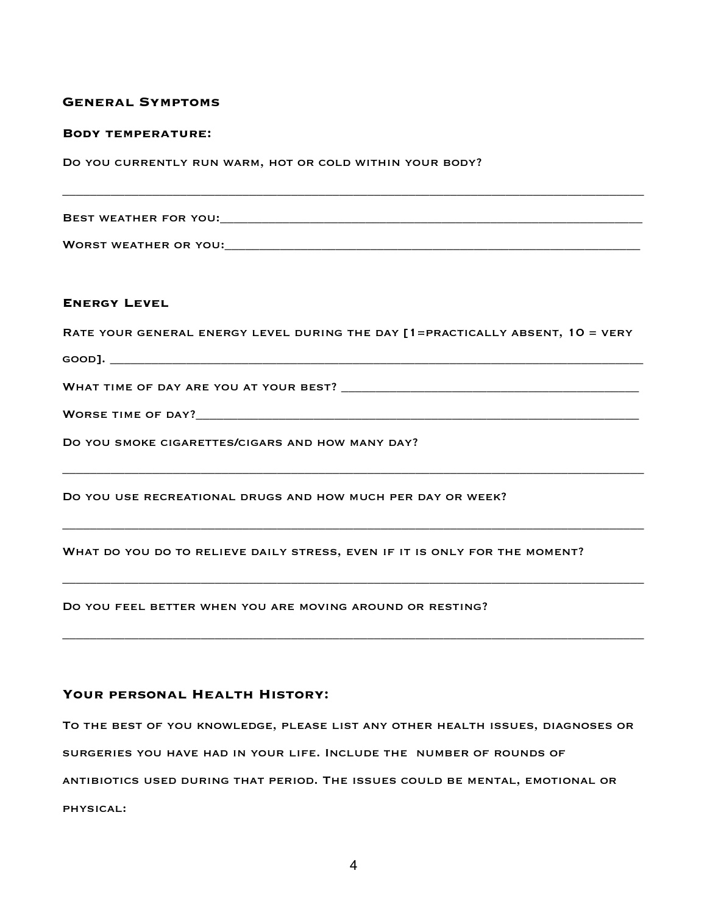### **General Symptoms**

#### **Body temperature:**

Do you currently run warm, hot or cold within your body?

Best weather for you:\_\_\_\_\_\_\_\_\_\_\_\_\_\_\_\_\_\_\_\_\_\_\_\_\_\_\_\_\_\_\_\_\_\_\_\_\_\_\_\_\_\_\_\_\_\_\_\_\_\_\_\_\_\_\_\_\_\_\_\_\_

\_\_\_\_\_\_\_\_\_\_\_\_\_\_\_\_\_\_\_\_\_\_\_\_\_\_\_\_\_\_\_\_\_\_\_\_\_\_\_\_\_\_\_\_\_\_\_\_\_\_\_\_\_\_\_\_\_\_\_\_\_\_\_\_\_\_\_\_\_\_\_\_\_\_\_\_\_\_\_\_\_\_\_\_

Worst weather or you:\_\_\_\_\_\_\_\_\_\_\_\_\_\_\_\_\_\_\_\_\_\_\_\_\_\_\_\_\_\_\_\_\_\_\_\_\_\_\_\_\_\_\_\_\_\_\_\_\_\_\_\_\_\_\_\_\_\_\_\_

## **Energy Level**

Rate your general energy level during the day [1=practically absent, 10 = very

\_\_\_\_\_\_\_\_\_\_\_\_\_\_\_\_\_\_\_\_\_\_\_\_\_\_\_\_\_\_\_\_\_\_\_\_\_\_\_\_\_\_\_\_\_\_\_\_\_\_\_\_\_\_\_\_\_\_\_\_\_\_\_\_\_\_\_\_\_\_\_\_\_\_\_\_\_\_\_\_\_\_\_\_

\_\_\_\_\_\_\_\_\_\_\_\_\_\_\_\_\_\_\_\_\_\_\_\_\_\_\_\_\_\_\_\_\_\_\_\_\_\_\_\_\_\_\_\_\_\_\_\_\_\_\_\_\_\_\_\_\_\_\_\_\_\_\_\_\_\_\_\_\_\_\_\_\_\_\_\_\_\_\_\_\_\_\_\_

\_\_\_\_\_\_\_\_\_\_\_\_\_\_\_\_\_\_\_\_\_\_\_\_\_\_\_\_\_\_\_\_\_\_\_\_\_\_\_\_\_\_\_\_\_\_\_\_\_\_\_\_\_\_\_\_\_\_\_\_\_\_\_\_\_\_\_\_\_\_\_\_\_\_\_\_\_\_\_\_\_\_\_\_

\_\_\_\_\_\_\_\_\_\_\_\_\_\_\_\_\_\_\_\_\_\_\_\_\_\_\_\_\_\_\_\_\_\_\_\_\_\_\_\_\_\_\_\_\_\_\_\_\_\_\_\_\_\_\_\_\_\_\_\_\_\_\_\_\_\_\_\_\_\_\_\_\_\_\_\_\_\_\_\_\_\_\_\_

good]. \_\_\_\_\_\_\_\_\_\_\_\_\_\_\_\_\_\_\_\_\_\_\_\_\_\_\_\_\_\_\_\_\_\_\_\_\_\_\_\_\_\_\_\_\_\_\_\_\_\_\_\_\_\_\_\_\_\_\_\_\_\_\_\_\_\_\_\_\_\_\_\_\_\_\_\_\_

What time of day are you at your best? \_\_\_\_\_\_\_\_\_\_\_\_\_\_\_\_\_\_\_\_\_\_\_\_\_\_\_\_\_\_\_\_\_\_\_\_\_\_\_\_\_\_\_

Worse time of day?\_\_\_\_\_\_\_\_\_\_\_\_\_\_\_\_\_\_\_\_\_\_\_\_\_\_\_\_\_\_\_\_\_\_\_\_\_\_\_\_\_\_\_\_\_\_\_\_\_\_\_\_\_\_\_\_\_\_\_\_\_\_\_\_

DO YOU SMOKE CIGARETTES/CIGARS AND HOW MANY DAY?

Do you use recreational drugs and how much per day or week?

WHAT DO YOU DO TO RELIEVE DAILY STRESS, EVEN IF IT IS ONLY FOR THE MOMENT?

Do you feel better when you are moving around or resting?

#### **Your personal Health History:**

To the best of you knowledge, please list any other health issues, diagnoses or surgeries you have had in your life. Include the number of rounds of antibiotics used during that period. The issues could be mental, emotional or physical: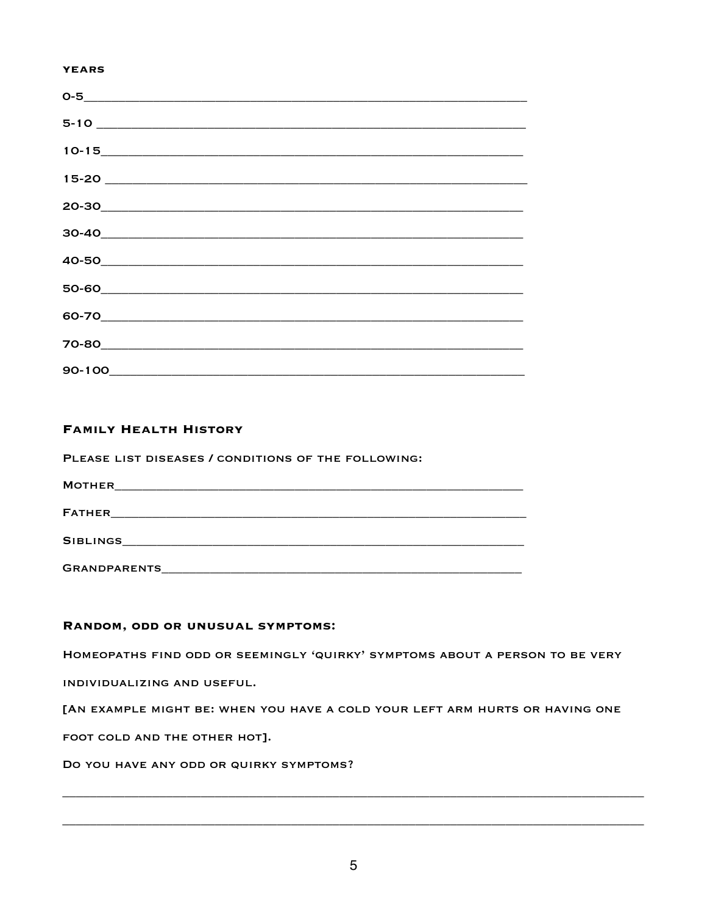#### **YEARS**

| 5-10 |  |  |
|------|--|--|
|      |  |  |
|      |  |  |
|      |  |  |
|      |  |  |
|      |  |  |
|      |  |  |
|      |  |  |
|      |  |  |
|      |  |  |

## **FAMILY HEALTH HISTORY**

PLEASE LIST DISEASES / CONDITIONS OF THE FOLLOWING:

**MOTHER MOTHER** 

## RANDOM, ODD OR UNUSUAL SYMPTOMS:

HOMEOPATHS FIND ODD OR SEEMINGLY 'QUIRKY' SYMPTOMS ABOUT A PERSON TO BE VERY

INDIVIDUALIZING AND USEFUL.

[AN EXAMPLE MIGHT BE: WHEN YOU HAVE A COLD YOUR LEFT ARM HURTS OR HAVING ONE

FOOT COLD AND THE OTHER HOT].

DO YOU HAVE ANY ODD OR QUIRKY SYMPTOMS?